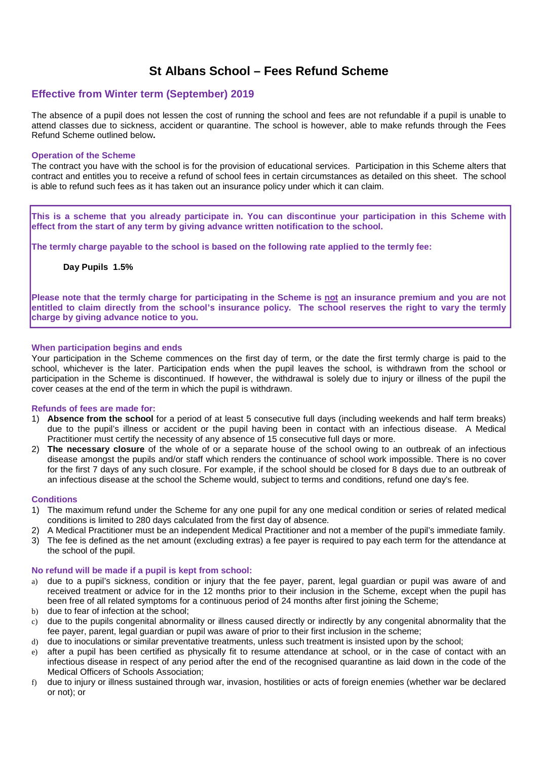# **St Albans School – Fees Refund Scheme**

# **Effective from Winter term (September) 2019**

The absence of a pupil does not lessen the cost of running the school and fees are not refundable if a pupil is unable to attend classes due to sickness, accident or quarantine. The school is however, able to make refunds through the Fees Refund Scheme outlined below**.**

### **Operation of the Scheme**

The contract you have with the school is for the provision of educational services. Participation in this Scheme alters that contract and entitles you to receive a refund of school fees in certain circumstances as detailed on this sheet. The school is able to refund such fees as it has taken out an insurance policy under which it can claim.

**This is a scheme that you already participate in. You can discontinue your participation in this Scheme with effect from the start of any term by giving advance written notification to the school.** 

**The termly charge payable to the school is based on the following rate applied to the termly fee:** 

**Day Pupils 1.5%** 

**Please note that the termly charge for participating in the Scheme is not an insurance premium and you are not entitled to claim directly from the school's insurance policy. The school reserves the right to vary the termly charge by giving advance notice to you.** 

# **When participation begins and ends**

Your participation in the Scheme commences on the first day of term, or the date the first termly charge is paid to the school, whichever is the later. Participation ends when the pupil leaves the school, is withdrawn from the school or participation in the Scheme is discontinued. If however, the withdrawal is solely due to injury or illness of the pupil the cover ceases at the end of the term in which the pupil is withdrawn.

# **Refunds of fees are made for:**

- 1) **Absence from the school** for a period of at least 5 consecutive full days (including weekends and half term breaks) due to the pupil's illness or accident or the pupil having been in contact with an infectious disease. A Medical Practitioner must certify the necessity of any absence of 15 consecutive full days or more.
- 2) **The necessary closure** of the whole of or a separate house of the school owing to an outbreak of an infectious disease amongst the pupils and/or staff which renders the continuance of school work impossible. There is no cover for the first 7 days of any such closure. For example, if the school should be closed for 8 days due to an outbreak of an infectious disease at the school the Scheme would, subject to terms and conditions, refund one day's fee.

# **Conditions**

- 1) The maximum refund under the Scheme for any one pupil for any one medical condition or series of related medical conditions is limited to 280 days calculated from the first day of absence.
- 2) A Medical Practitioner must be an independent Medical Practitioner and not a member of the pupil's immediate family.
- 3) The fee is defined as the net amount (excluding extras) a fee payer is required to pay each term for the attendance at the school of the pupil.

# **No refund will be made if a pupil is kept from school:**

- a) due to a pupil's sickness, condition or injury that the fee payer, parent, legal guardian or pupil was aware of and received treatment or advice for in the 12 months prior to their inclusion in the Scheme, except when the pupil has been free of all related symptoms for a continuous period of 24 months after first joining the Scheme;
- b) due to fear of infection at the school:
- c) due to the pupils congenital abnormality or illness caused directly or indirectly by any congenital abnormality that the fee payer, parent, legal guardian or pupil was aware of prior to their first inclusion in the scheme;
- d) due to inoculations or similar preventative treatments, unless such treatment is insisted upon by the school;
- e) after a pupil has been certified as physically fit to resume attendance at school, or in the case of contact with an infectious disease in respect of any period after the end of the recognised quarantine as laid down in the code of the Medical Officers of Schools Association;
- f) due to injury or illness sustained through war, invasion, hostilities or acts of foreign enemies (whether war be declared or not); or